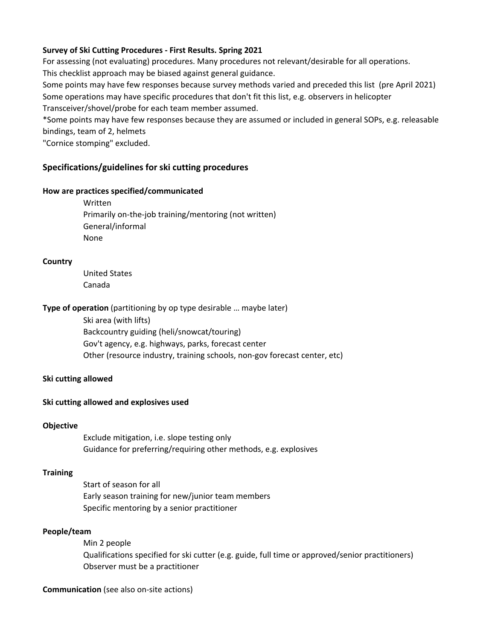## **Survey of Ski Cutting Procedures ‐ First Results. Spring 2021**

For assessing (not evaluating) procedures. Many procedures not relevant/desirable for all operations. This checklist approach may be biased against general guidance.

Some points may have few responses because survey methods varied and preceded this list (pre April 2021) Some operations may have specific procedures that don't fit this list, e.g. observers in helicopter Transceiver/shovel/probe for each team member assumed.

\*Some points may have few responses because they are assumed or included in general SOPs, e.g. releasable bindings, team of 2, helmets

"Cornice stomping" excluded.

# **Specifications/guidelines for ski cutting procedures**

### **How are practices specified/communicated**

Written Primarily on‐the‐job training/mentoring (not written) General/informal None

**Country**

United States Canada

**Type of operation** (partitioning by op type desirable … maybe later)

Ski area (with lifts) Backcountry guiding (heli/snowcat/touring) Gov't agency, e.g. highways, parks, forecast center Other (resource industry, training schools, non‐gov forecast center, etc)

## **Ski cutting allowed**

## **Ski cutting allowed and explosives used**

#### **Objective**

Exclude mitigation, i.e. slope testing only Guidance for preferring/requiring other methods, e.g. explosives

## **Training**

Start of season for all Early season training for new/junior team members Specific mentoring by a senior practitioner

#### **People/team**

Min 2 people Qualifications specified for ski cutter (e.g. guide, full time or approved/senior practitioners) Observer must be a practitioner

#### **Communication** (see also on‐site actions)